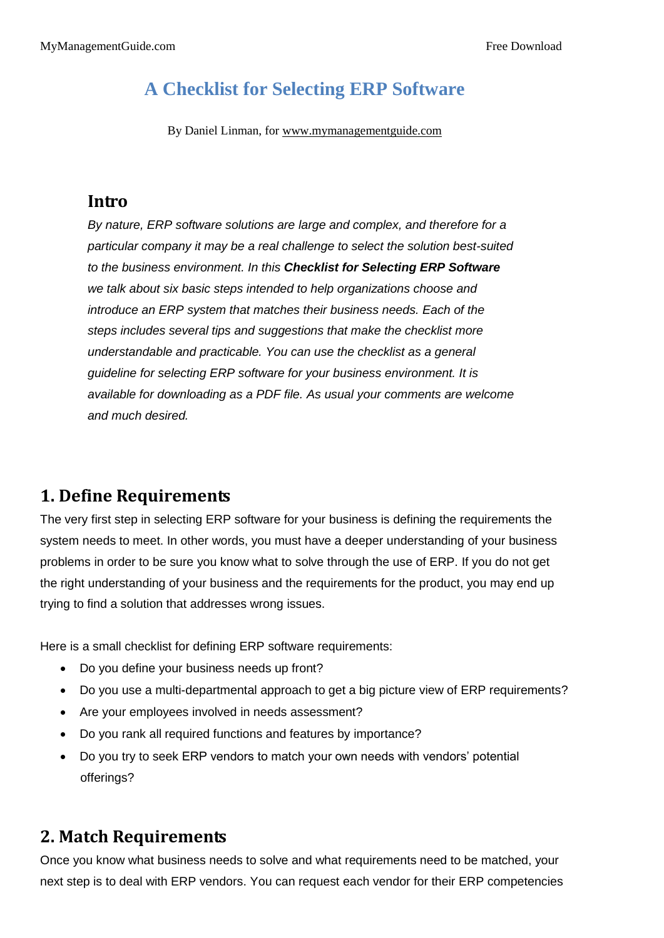# **A Checklist for Selecting ERP Software**

By Daniel Linman, for www.mymanagementguide.com

#### **Intro**

*By nature, ERP software solutions are large and complex, and therefore for a particular company it may be a real challenge to select the solution best-suited to the business environment. In this Checklist for Selecting ERP Software we talk about six basic steps intended to help organizations choose and introduce an ERP system that matches their business needs. Each of the steps includes several tips and suggestions that make the checklist more understandable and practicable. You can use the checklist as a general guideline for selecting ERP software for your business environment. It is available for downloading as a PDF file. As usual your comments are welcome and much desired.*

## **1. Define Requirements**

The very first step in selecting ERP software for your business is defining the requirements the system needs to meet. In other words, you must have a deeper understanding of your business problems in order to be sure you know what to solve through the use of ERP. If you do not get the right understanding of your business and the requirements for the product, you may end up trying to find a solution that addresses wrong issues.

Here is a small checklist for defining ERP software requirements:

- Do you define your business needs up front?
- Do you use a multi-departmental approach to get a big picture view of ERP requirements?
- Are your employees involved in needs assessment?
- Do you rank all required functions and features by importance?
- Do you try to seek ERP vendors to match your own needs with vendors' potential offerings?

### **2. Match Requirements**

Once you know what business needs to solve and what requirements need to be matched, your next step is to deal with ERP vendors. You can request each vendor for their ERP competencies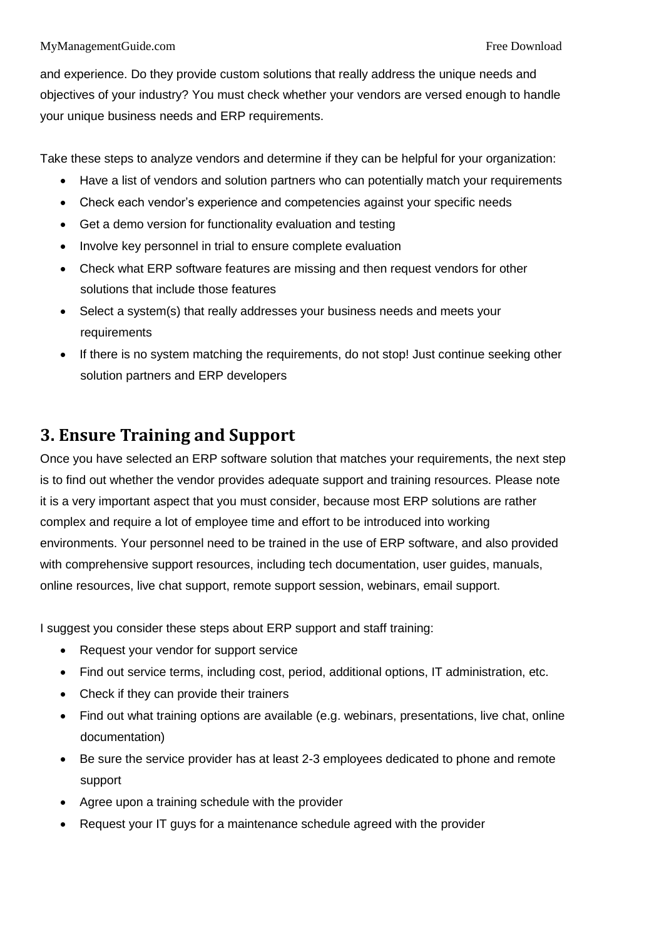#### MyManagementGuide.com Free Download

and experience. Do they provide custom solutions that really address the unique needs and objectives of your industry? You must check whether your vendors are versed enough to handle your unique business needs and ERP requirements.

Take these steps to analyze vendors and determine if they can be helpful for your organization:

- Have a list of vendors and solution partners who can potentially match your requirements
- Check each vendor's experience and competencies against your specific needs
- Get a demo version for functionality evaluation and testing
- Involve key personnel in trial to ensure complete evaluation
- Check what ERP software features are missing and then request vendors for other solutions that include those features
- Select a system(s) that really addresses your business needs and meets your requirements
- If there is no system matching the requirements, do not stop! Just continue seeking other solution partners and ERP developers

## **3. Ensure Training and Support**

Once you have selected an ERP software solution that matches your requirements, the next step is to find out whether the vendor provides adequate support and training resources. Please note it is a very important aspect that you must consider, because most ERP solutions are rather complex and require a lot of employee time and effort to be introduced into working environments. Your personnel need to be trained in the use of ERP software, and also provided with comprehensive support resources, including tech documentation, user guides, manuals, online resources, live chat support, remote support session, webinars, email support.

I suggest you consider these steps about ERP support and staff training:

- Request your vendor for support service
- Find out service terms, including cost, period, additional options, IT administration, etc.
- Check if they can provide their trainers
- Find out what training options are available (e.g. webinars, presentations, live chat, online documentation)
- Be sure the service provider has at least 2-3 employees dedicated to phone and remote support
- Agree upon a training schedule with the provider
- Request your IT guys for a maintenance schedule agreed with the provider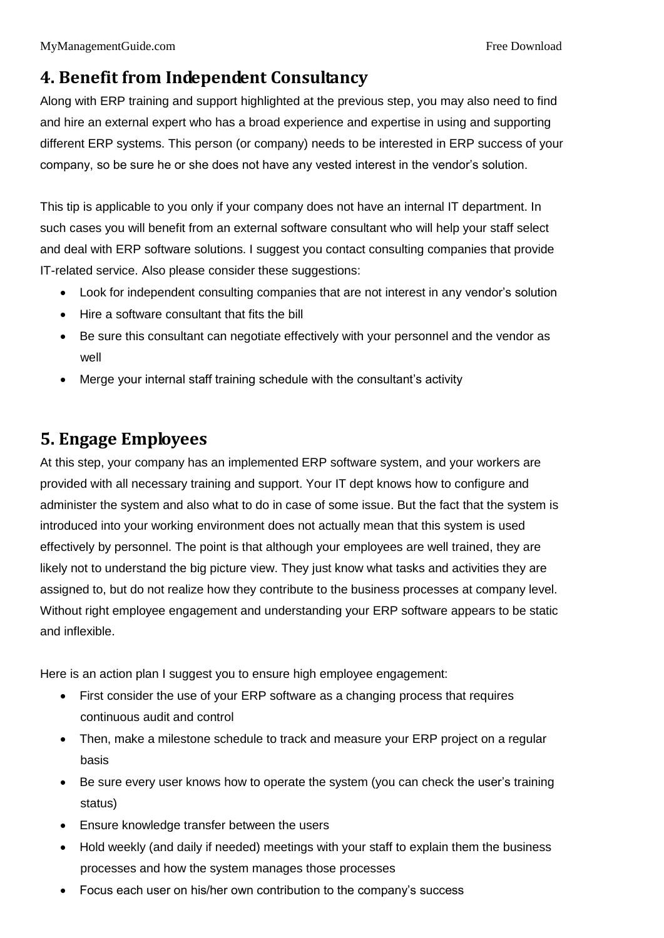# **4. Benefit from Independent Consultancy**

Along with ERP training and support highlighted at the previous step, you may also need to find and hire an external expert who has a broad experience and expertise in using and supporting different ERP systems. This person (or company) needs to be interested in ERP success of your company, so be sure he or she does not have any vested interest in the vendor's solution.

This tip is applicable to you only if your company does not have an internal IT department. In such cases you will benefit from an external software consultant who will help your staff select and deal with ERP software solutions. I suggest you contact consulting companies that provide IT-related service. Also please consider these suggestions:

- Look for independent consulting companies that are not interest in any vendor's solution
- Hire a software consultant that fits the bill
- Be sure this consultant can negotiate effectively with your personnel and the vendor as well
- Merge your internal staff training schedule with the consultant's activity

# **5. Engage Employees**

At this step, your company has an implemented ERP software system, and your workers are provided with all necessary training and support. Your IT dept knows how to configure and administer the system and also what to do in case of some issue. But the fact that the system is introduced into your working environment does not actually mean that this system is used effectively by personnel. The point is that although your employees are well trained, they are likely not to understand the big picture view. They just know what tasks and activities they are assigned to, but do not realize how they contribute to the business processes at company level. Without right employee engagement and understanding your ERP software appears to be static and inflexible.

Here is an action plan I suggest you to ensure high employee engagement:

- First consider the use of your ERP software as a changing process that requires continuous audit and control
- Then, make a milestone schedule to track and measure your ERP project on a regular basis
- Be sure every user knows how to operate the system (you can check the user's training status)
- Ensure knowledge transfer between the users
- Hold weekly (and daily if needed) meetings with your staff to explain them the business processes and how the system manages those processes
- Focus each user on his/her own contribution to the company's success